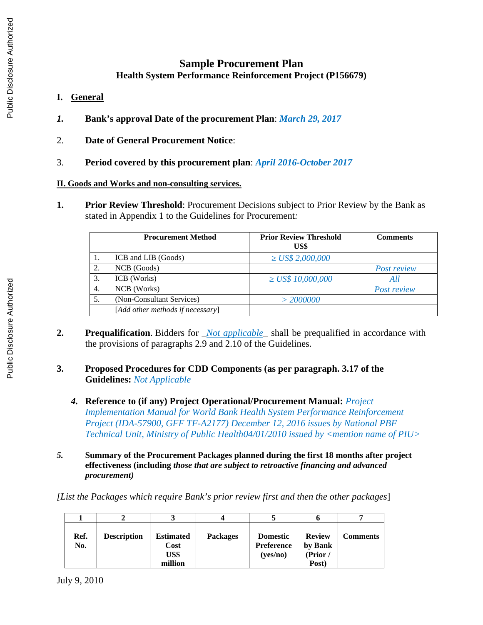## **Sample Procurement Plan Health System Performance Reinforcement Project (P156679)**

- **I. General**
- *1.* **Bank's approval Date of the procurement Plan**: *March 29, 2017*
- 2. **Date of General Procurement Notice**:
- 3. **Period covered by this procurement plan**: *April 2016-October 2017*

## **II. Goods and Works and non-consulting services.**

**1. Prior Review Threshold**: Procurement Decisions subject to Prior Review by the Bank as stated in Appendix 1 to the Guidelines for Procurement*:* 

|    | <b>Procurement Method</b>        | <b>Prior Review Threshold</b><br>US\$ | <b>Comments</b>    |
|----|----------------------------------|---------------------------------------|--------------------|
| 1. | ICB and LIB (Goods)              | $\geq$ US\$ 2,000,000                 |                    |
| 2. | NCB (Goods)                      |                                       | <b>Post review</b> |
| 3. | ICB (Works)                      | $\geq$ US\$ 10,000,000                | All                |
| 4. | NCB (Works)                      |                                       | Post review        |
| 5. | (Non-Consultant Services)        | > 2000000                             |                    |
|    | [Add other methods if necessary] |                                       |                    |

- **2. Prequalification**. Bidders for \_*Not applicable\_* shall be prequalified in accordance with the provisions of paragraphs 2.9 and 2.10 of the Guidelines.
- **3. Proposed Procedures for CDD Components (as per paragraph. 3.17 of the Guidelines:** *Not Applicable*
	- *4.* **Reference to (if any) Project Operational/Procurement Manual:** *Project Implementation Manual for World Bank Health System Performance Reinforcement Project (IDA-57900, GFF TF-A2177) December 12, 2016 issues by National PBF Technical Unit, Ministry of Public Health04/01/2010 issued by <mention name of PIU>*
- *5.* **Summary of the Procurement Packages planned during the first 18 months after project effectiveness (including** *those that are subject to retroactive financing and advanced procurement)*

*[List the Packages which require Bank's prior review first and then the other packages*]

| Ref.<br>No. | <b>Description</b> | <b>Estimated</b><br>Cost<br>US\$<br>million | <b>Packages</b> | <b>Domestic</b><br>Preference<br>(yes/no) | <b>Review</b><br>by Bank<br>(Prior/<br>Post) | <b>Comments</b> |
|-------------|--------------------|---------------------------------------------|-----------------|-------------------------------------------|----------------------------------------------|-----------------|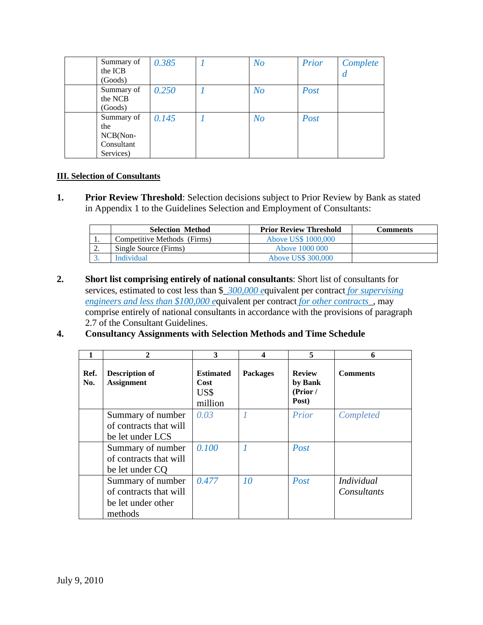| Summary of | 0.385 | N <sub>O</sub> | Prior | Complete |
|------------|-------|----------------|-------|----------|
| the ICB    |       |                |       | a        |
| (Goods)    |       |                |       |          |
| Summary of | 0.250 | N <sub>O</sub> | Post  |          |
| the NCB    |       |                |       |          |
| (Goods)    |       |                |       |          |
| Summary of | 0.145 | N <sub>O</sub> | Post  |          |
| the        |       |                |       |          |
| NCB(Non-   |       |                |       |          |
| Consultant |       |                |       |          |
| Services)  |       |                |       |          |

## **III. Selection of Consultants**

**1. Prior Review Threshold**: Selection decisions subject to Prior Review by Bank as stated in Appendix 1 to the Guidelines Selection and Employment of Consultants:

|    | <b>Selection Method</b>     | <b>Prior Review Threshold</b> | Comments |
|----|-----------------------------|-------------------------------|----------|
|    | Competitive Methods (Firms) | Above US\$ 1000,000           |          |
| ٠. | Single Source (Firms)       | Aboye 1000 000                |          |
|    | Individual                  | Above US\$ 300,000            |          |

**2. Short list comprising entirely of national consultants**: Short list of consultants for services, estimated to cost less than \$\_*300,000 e*quivalent per contract *for supervising engineers and less than \$100,000 e*quivalent per contract *for other contracts*\_, may comprise entirely of national consultants in accordance with the provisions of paragraph 2.7 of the Consultant Guidelines.

## **4. Consultancy Assignments with Selection Methods and Time Schedule**

| 1           | $\mathcal{P}$                              | 3                                           | 4               | 5                                             | 6               |
|-------------|--------------------------------------------|---------------------------------------------|-----------------|-----------------------------------------------|-----------------|
| Ref.<br>No. | <b>Description of</b><br><b>Assignment</b> | <b>Estimated</b><br>Cost<br>US\$<br>million | <b>Packages</b> | <b>Review</b><br>by Bank<br>(Prior /<br>Post) | <b>Comments</b> |
|             | Summary of number                          | 0.03                                        | 1               | Prior                                         | Completed       |
|             | of contracts that will                     |                                             |                 |                                               |                 |
|             | be let under LCS                           |                                             |                 |                                               |                 |
|             | Summary of number                          | 0.100                                       |                 | Post                                          |                 |
|             | of contracts that will                     |                                             |                 |                                               |                 |
|             | be let under CQ                            |                                             |                 |                                               |                 |
|             | Summary of number                          | 0.477                                       | 10              | Post                                          | Individual      |
|             | of contracts that will                     |                                             |                 |                                               | Consultants     |
|             | be let under other                         |                                             |                 |                                               |                 |
|             | methods                                    |                                             |                 |                                               |                 |